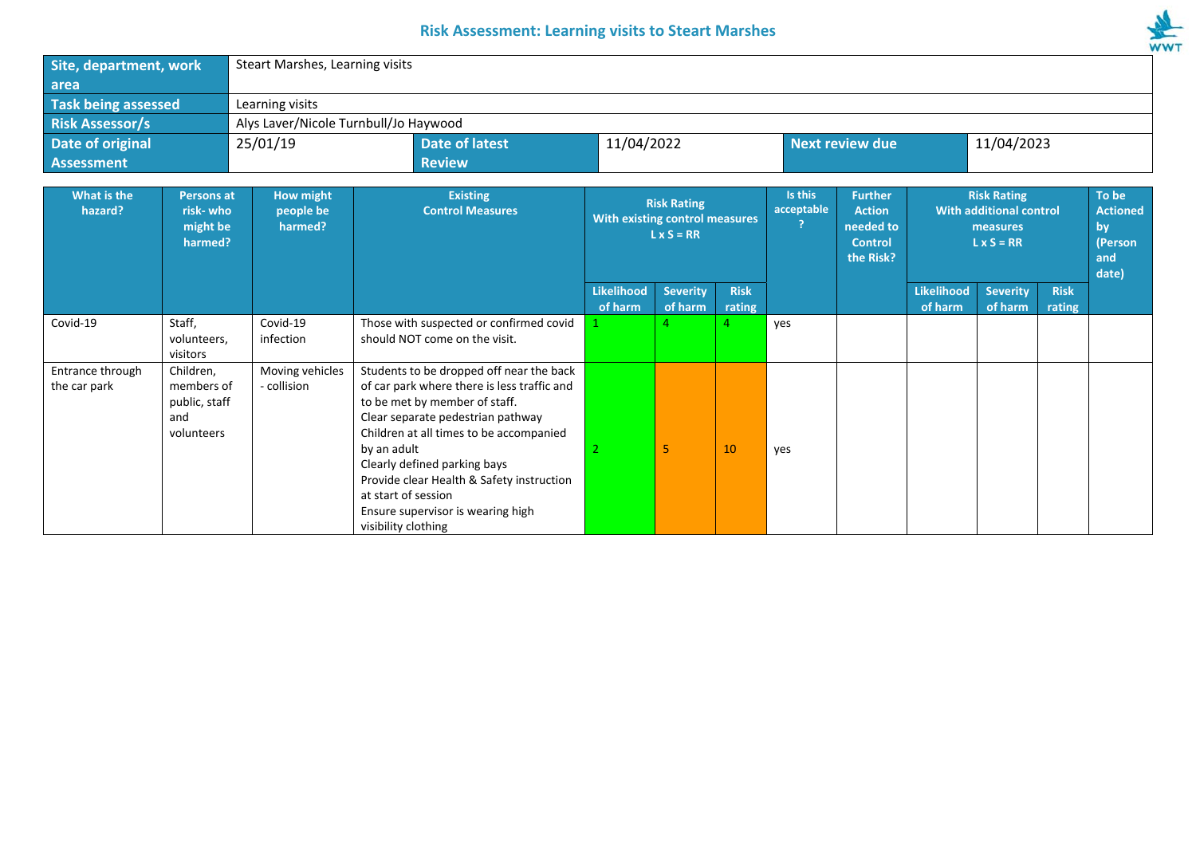## **Risk Assessment: Learning visits to Steart Marshes**



| Site, department, work<br>area                                                 |                                                               | Steart Marshes, Learning visits                                                 |                                                                                                                                                                                                                                                                                                                                                                                         |                                                                           |                            |                       |                        |                                                                             |                                                                                |                            |                       |                                                           |
|--------------------------------------------------------------------------------|---------------------------------------------------------------|---------------------------------------------------------------------------------|-----------------------------------------------------------------------------------------------------------------------------------------------------------------------------------------------------------------------------------------------------------------------------------------------------------------------------------------------------------------------------------------|---------------------------------------------------------------------------|----------------------------|-----------------------|------------------------|-----------------------------------------------------------------------------|--------------------------------------------------------------------------------|----------------------------|-----------------------|-----------------------------------------------------------|
| <b>Task being assessed</b>                                                     |                                                               | Learning visits                                                                 |                                                                                                                                                                                                                                                                                                                                                                                         |                                                                           |                            |                       |                        |                                                                             |                                                                                |                            |                       |                                                           |
| <b>Risk Assessor/s</b>                                                         |                                                               | Alys Laver/Nicole Turnbull/Jo Haywood                                           |                                                                                                                                                                                                                                                                                                                                                                                         |                                                                           |                            |                       |                        |                                                                             |                                                                                |                            |                       |                                                           |
| Date of original                                                               |                                                               | 25/01/19                                                                        | <b>Date of latest</b>                                                                                                                                                                                                                                                                                                                                                                   | 11/04/2022                                                                |                            |                       | <b>Next review due</b> |                                                                             |                                                                                | 11/04/2023                 |                       |                                                           |
| <b>Assessment</b>                                                              |                                                               |                                                                                 | <b>Review</b>                                                                                                                                                                                                                                                                                                                                                                           |                                                                           |                            |                       |                        |                                                                             |                                                                                |                            |                       |                                                           |
| What is the<br><b>Persons at</b><br>hazard?<br>risk-who<br>might be<br>harmed? |                                                               | How might<br><b>Existing</b><br><b>Control Measures</b><br>people be<br>harmed? |                                                                                                                                                                                                                                                                                                                                                                                         | <b>Risk Rating</b><br>With existing control measures<br>$L \times S = RR$ |                            |                       | Is this<br>acceptable  | <b>Further</b><br><b>Action</b><br>needed to<br><b>Control</b><br>the Risk? | <b>Risk Rating</b><br>With additional control<br>measures<br>$L \times S = RR$ |                            |                       | To be<br><b>Actioned</b><br>by<br>(Person<br>and<br>date) |
|                                                                                |                                                               |                                                                                 |                                                                                                                                                                                                                                                                                                                                                                                         | <b>Likelihood</b><br>of harm                                              | <b>Severity</b><br>of harm | <b>Risk</b><br>rating |                        |                                                                             | <b>Likelihood</b><br>of harm                                                   | <b>Severity</b><br>of harm | <b>Risk</b><br>rating |                                                           |
| Covid-19                                                                       | Staff,<br>volunteers,<br>visitors                             | Covid-19<br>infection                                                           | Those with suspected or confirmed covid<br>should NOT come on the visit.                                                                                                                                                                                                                                                                                                                |                                                                           |                            |                       | yes                    |                                                                             |                                                                                |                            |                       |                                                           |
| Entrance through<br>the car park                                               | Children.<br>members of<br>public, staff<br>and<br>volunteers | Moving vehicles<br>- collision                                                  | Students to be dropped off near the back<br>of car park where there is less traffic and<br>to be met by member of staff.<br>Clear separate pedestrian pathway<br>Children at all times to be accompanied<br>by an adult<br>Clearly defined parking bays<br>Provide clear Health & Safety instruction<br>at start of session<br>Ensure supervisor is wearing high<br>visibility clothing |                                                                           | 5                          | 10                    | yes                    |                                                                             |                                                                                |                            |                       |                                                           |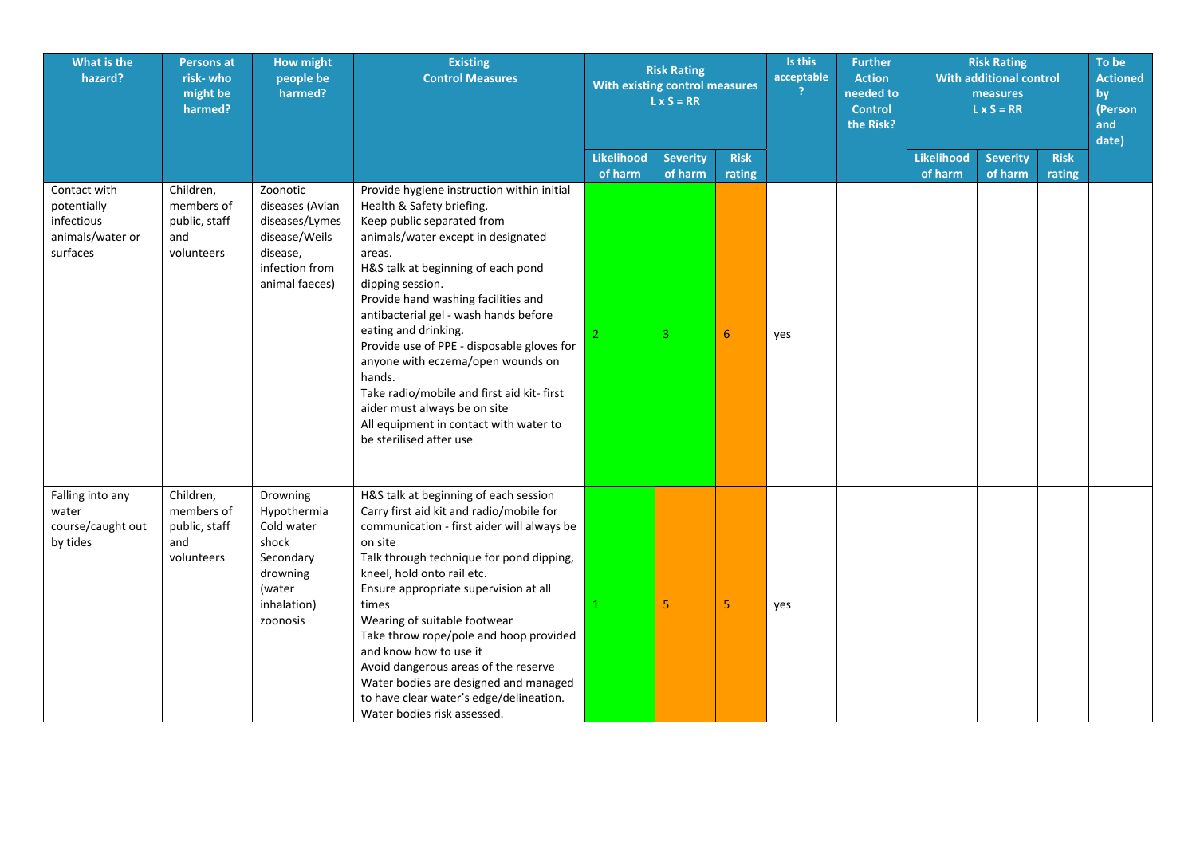| What is the<br>hazard?                                                    | <b>Persons at</b><br>risk-who<br>might be<br>harmed?          | <b>How might</b><br>people be<br>harmed?                                                                       | <b>Existing</b><br><b>Control Measures</b>                                                                                                                                                                                                                                                                                                                                                                                                                                                                                                                              | <b>Risk Rating</b><br>With existing control measures<br>$L \times S = RR$ |                            |                       |     |  |                              |                            |                       |  | Is this<br>acceptable<br>2 |  |  | <b>Further</b><br><b>Action</b><br>needed to<br><b>Control</b><br>the Risk? |  | <b>Risk Rating</b><br><b>With additional control</b><br>measures<br>$L \times S = RR$ |  |  | To be<br><b>Actioned</b><br>by<br>(Person<br>and<br>date) |
|---------------------------------------------------------------------------|---------------------------------------------------------------|----------------------------------------------------------------------------------------------------------------|-------------------------------------------------------------------------------------------------------------------------------------------------------------------------------------------------------------------------------------------------------------------------------------------------------------------------------------------------------------------------------------------------------------------------------------------------------------------------------------------------------------------------------------------------------------------------|---------------------------------------------------------------------------|----------------------------|-----------------------|-----|--|------------------------------|----------------------------|-----------------------|--|----------------------------|--|--|-----------------------------------------------------------------------------|--|---------------------------------------------------------------------------------------|--|--|-----------------------------------------------------------|
|                                                                           |                                                               |                                                                                                                |                                                                                                                                                                                                                                                                                                                                                                                                                                                                                                                                                                         | <b>Likelihood</b><br>of harm                                              | <b>Severity</b><br>of harm | <b>Risk</b><br>rating |     |  | <b>Likelihood</b><br>of harm | <b>Severity</b><br>of harm | <b>Risk</b><br>rating |  |                            |  |  |                                                                             |  |                                                                                       |  |  |                                                           |
| Contact with<br>potentially<br>infectious<br>animals/water or<br>surfaces | Children,<br>members of<br>public, staff<br>and<br>volunteers | Zoonotic<br>diseases (Avian<br>diseases/Lymes<br>disease/Weils<br>disease,<br>infection from<br>animal faeces) | Provide hygiene instruction within initial<br>Health & Safety briefing.<br>Keep public separated from<br>animals/water except in designated<br>areas.<br>H&S talk at beginning of each pond<br>dipping session.<br>Provide hand washing facilities and<br>antibacterial gel - wash hands before<br>eating and drinking.<br>Provide use of PPE - disposable gloves for<br>anyone with eczema/open wounds on<br>hands.<br>Take radio/mobile and first aid kit- first<br>aider must always be on site<br>All equipment in contact with water to<br>be sterilised after use | 2 <sup>1</sup>                                                            | 3                          | 6                     | yes |  |                              |                            |                       |  |                            |  |  |                                                                             |  |                                                                                       |  |  |                                                           |
| Falling into any<br>water<br>course/caught out<br>by tides                | Children,<br>members of<br>public, staff<br>and<br>volunteers | Drowning<br>Hypothermia<br>Cold water<br>shock<br>Secondary<br>drowning<br>(water<br>inhalation)<br>zoonosis   | H&S talk at beginning of each session<br>Carry first aid kit and radio/mobile for<br>communication - first aider will always be<br>on site<br>Talk through technique for pond dipping,<br>kneel, hold onto rail etc.<br>Ensure appropriate supervision at all<br>times<br>Wearing of suitable footwear<br>Take throw rope/pole and hoop provided<br>and know how to use it<br>Avoid dangerous areas of the reserve<br>Water bodies are designed and managed<br>to have clear water's edge/delineation.<br>Water bodies risk assessed.                                   | $\mathbf{1}$                                                              | 5                          | 5                     | yes |  |                              |                            |                       |  |                            |  |  |                                                                             |  |                                                                                       |  |  |                                                           |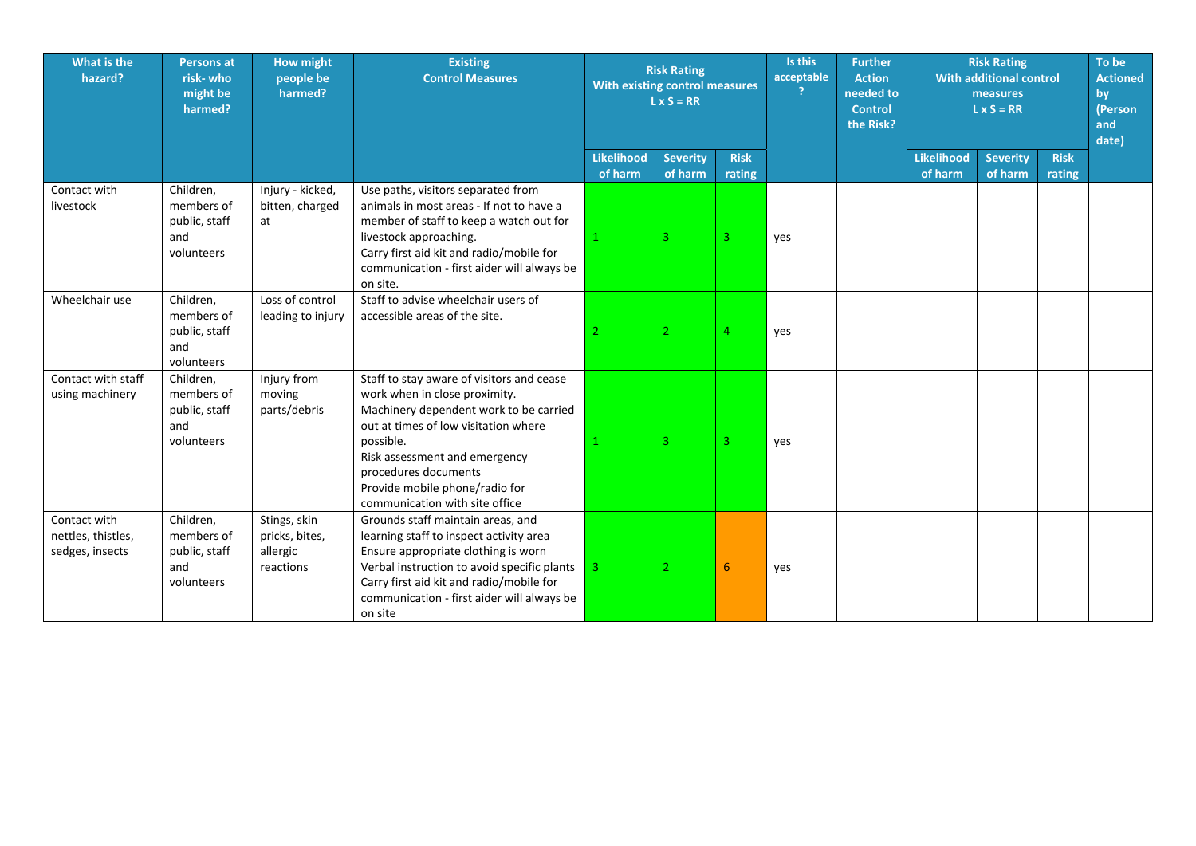| What is the<br>hazard?                                | <b>Persons at</b><br>risk-who<br>might be<br>harmed?          | <b>How might</b><br>people be<br>harmed?                | <b>Existing</b><br><b>Control Measures</b>                                                                                                                                                                                                                                                             | <b>Risk Rating</b><br>With existing control measures<br>$L \times S = RR$ |                            |                       | Is this<br><b>Further</b><br>acceptable<br><b>Action</b><br>needed to<br><b>Control</b><br>the Risk? |  | <b>Risk Rating</b><br><b>With additional control</b><br>measures<br>$L \times S = RR$ |                            |                       | To be<br><b>Actioned</b><br>by<br>(Person<br>and<br>date) |
|-------------------------------------------------------|---------------------------------------------------------------|---------------------------------------------------------|--------------------------------------------------------------------------------------------------------------------------------------------------------------------------------------------------------------------------------------------------------------------------------------------------------|---------------------------------------------------------------------------|----------------------------|-----------------------|------------------------------------------------------------------------------------------------------|--|---------------------------------------------------------------------------------------|----------------------------|-----------------------|-----------------------------------------------------------|
|                                                       |                                                               |                                                         |                                                                                                                                                                                                                                                                                                        | <b>Likelihood</b><br>of harm                                              | <b>Severity</b><br>of harm | <b>Risk</b><br>rating |                                                                                                      |  | <b>Likelihood</b><br>of harm                                                          | <b>Severity</b><br>of harm | <b>Risk</b><br>rating |                                                           |
| Contact with<br>livestock                             | Children,<br>members of<br>public, staff<br>and<br>volunteers | Injury - kicked,<br>bitten, charged<br>at               | Use paths, visitors separated from<br>animals in most areas - If not to have a<br>member of staff to keep a watch out for<br>livestock approaching.<br>Carry first aid kit and radio/mobile for<br>communication - first aider will always be<br>on site.                                              |                                                                           | $\overline{3}$             | 3                     | yes                                                                                                  |  |                                                                                       |                            |                       |                                                           |
| Wheelchair use                                        | Children,<br>members of<br>public, staff<br>and<br>volunteers | Loss of control<br>leading to injury                    | Staff to advise wheelchair users of<br>accessible areas of the site.                                                                                                                                                                                                                                   |                                                                           | 2                          | 4                     | yes                                                                                                  |  |                                                                                       |                            |                       |                                                           |
| Contact with staff<br>using machinery                 | Children,<br>members of<br>public, staff<br>and<br>volunteers | Injury from<br>moving<br>parts/debris                   | Staff to stay aware of visitors and cease<br>work when in close proximity.<br>Machinery dependent work to be carried<br>out at times of low visitation where<br>possible.<br>Risk assessment and emergency<br>procedures documents<br>Provide mobile phone/radio for<br>communication with site office |                                                                           | $\overline{3}$             | 3                     | yes                                                                                                  |  |                                                                                       |                            |                       |                                                           |
| Contact with<br>nettles, thistles,<br>sedges, insects | Children,<br>members of<br>public, staff<br>and<br>volunteers | Stings, skin<br>pricks, bites,<br>allergic<br>reactions | Grounds staff maintain areas, and<br>learning staff to inspect activity area<br>Ensure appropriate clothing is worn<br>Verbal instruction to avoid specific plants<br>Carry first aid kit and radio/mobile for<br>communication - first aider will always be<br>on site                                | $\overline{3}$                                                            |                            | 6                     | yes                                                                                                  |  |                                                                                       |                            |                       |                                                           |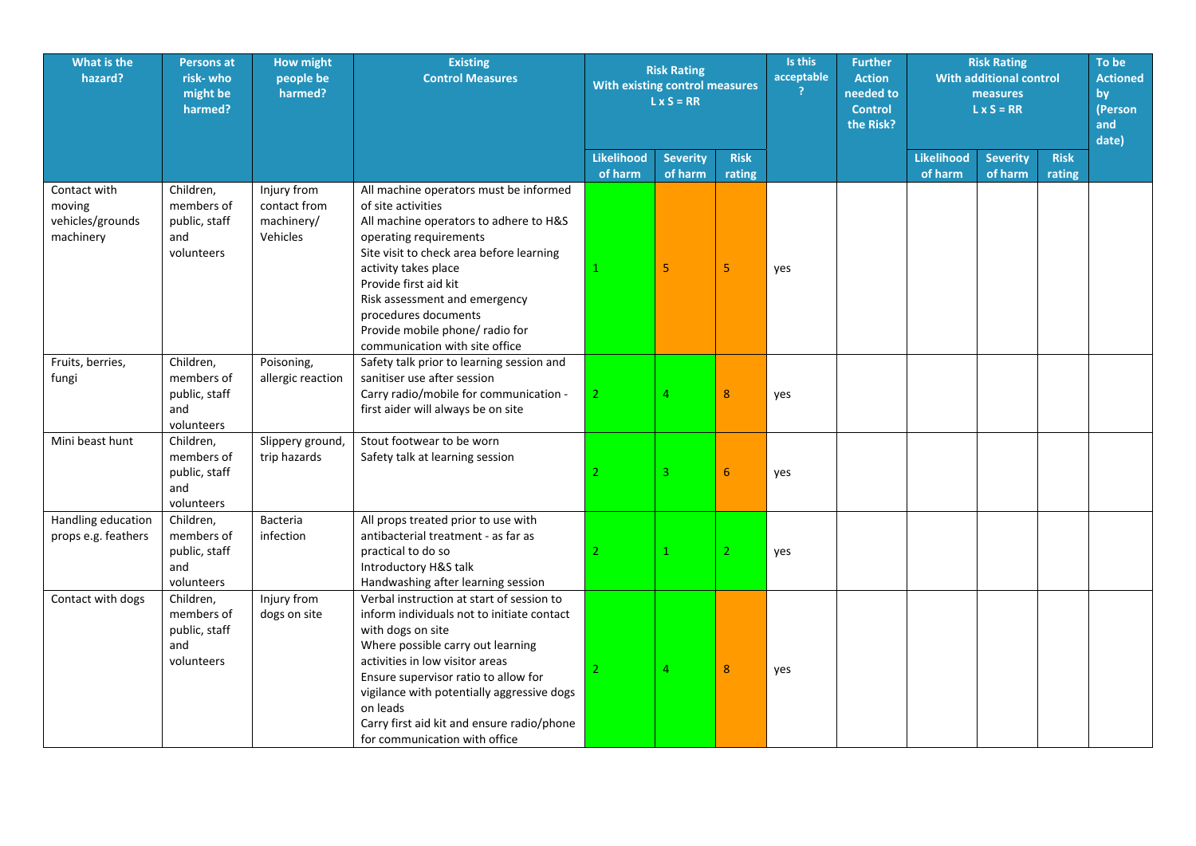| What is the<br>hazard?                                  | <b>Persons at</b><br>risk-who<br>might be<br>harmed?          | <b>How might</b><br>people be<br>harmed?              | <b>Existing</b><br><b>Control Measures</b>                                                                                                                                                                                                                                                                                                                            | <b>Risk Rating</b><br>With existing control measures<br>$L \times S = RR$ |                            |                       | Is this<br><b>Further</b><br>acceptable<br><b>Action</b><br>?<br>needed to<br><b>Control</b><br>the Risk? |  | <b>Risk Rating</b><br><b>With additional control</b><br>measures<br>$L \times S = RR$ |                            |                       | To be<br><b>Actioned</b><br>by<br>(Person<br>and<br>date) |
|---------------------------------------------------------|---------------------------------------------------------------|-------------------------------------------------------|-----------------------------------------------------------------------------------------------------------------------------------------------------------------------------------------------------------------------------------------------------------------------------------------------------------------------------------------------------------------------|---------------------------------------------------------------------------|----------------------------|-----------------------|-----------------------------------------------------------------------------------------------------------|--|---------------------------------------------------------------------------------------|----------------------------|-----------------------|-----------------------------------------------------------|
|                                                         |                                                               |                                                       |                                                                                                                                                                                                                                                                                                                                                                       | <b>Likelihood</b><br>of harm                                              | <b>Severity</b><br>of harm | <b>Risk</b><br>rating |                                                                                                           |  | <b>Likelihood</b><br>of harm                                                          | <b>Severity</b><br>of harm | <b>Risk</b><br>rating |                                                           |
| Contact with<br>moving<br>vehicles/grounds<br>machinery | Children,<br>members of<br>public, staff<br>and<br>volunteers | Injury from<br>contact from<br>machinery/<br>Vehicles | All machine operators must be informed<br>of site activities<br>All machine operators to adhere to H&S<br>operating requirements<br>Site visit to check area before learning<br>activity takes place<br>Provide first aid kit<br>Risk assessment and emergency<br>procedures documents<br>Provide mobile phone/ radio for<br>communication with site office           |                                                                           | 5                          | 5                     | yes                                                                                                       |  |                                                                                       |                            |                       |                                                           |
| Fruits, berries,<br>fungi                               | Children,<br>members of<br>public, staff<br>and<br>volunteers | Poisoning,<br>allergic reaction                       | Safety talk prior to learning session and<br>sanitiser use after session<br>Carry radio/mobile for communication -<br>first aider will always be on site                                                                                                                                                                                                              | $\overline{2}$                                                            | 4                          | 8                     | yes                                                                                                       |  |                                                                                       |                            |                       |                                                           |
| Mini beast hunt                                         | Children,<br>members of<br>public, staff<br>and<br>volunteers | Slippery ground,<br>trip hazards                      | Stout footwear to be worn<br>Safety talk at learning session                                                                                                                                                                                                                                                                                                          | $\overline{2}$                                                            | 3                          | $6\phantom{1}$        | yes                                                                                                       |  |                                                                                       |                            |                       |                                                           |
| Handling education<br>props e.g. feathers               | Children,<br>members of<br>public, staff<br>and<br>volunteers | Bacteria<br>infection                                 | All props treated prior to use with<br>antibacterial treatment - as far as<br>practical to do so<br>Introductory H&S talk<br>Handwashing after learning session                                                                                                                                                                                                       | $\overline{2}$                                                            | $\mathbf{1}$               | $\overline{2}$        | yes                                                                                                       |  |                                                                                       |                            |                       |                                                           |
| Contact with dogs                                       | Children,<br>members of<br>public, staff<br>and<br>volunteers | Injury from<br>dogs on site                           | Verbal instruction at start of session to<br>inform individuals not to initiate contact<br>with dogs on site<br>Where possible carry out learning<br>activities in low visitor areas<br>Ensure supervisor ratio to allow for<br>vigilance with potentially aggressive dogs<br>on leads<br>Carry first aid kit and ensure radio/phone<br>for communication with office | $\overline{2}$                                                            | 4                          | 8                     | yes                                                                                                       |  |                                                                                       |                            |                       |                                                           |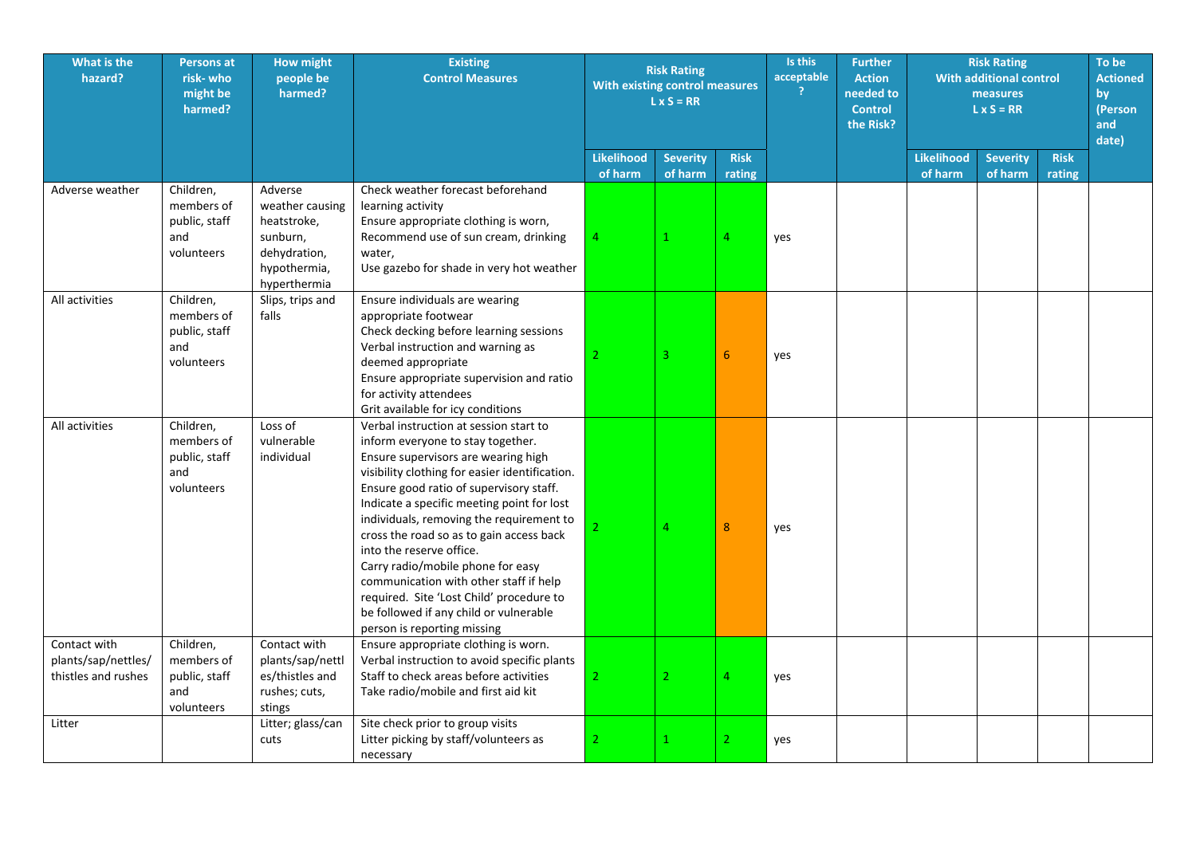| What is the<br>hazard?                                     | <b>Persons at</b><br>risk- who<br>might be<br>harmed?         | <b>How might</b><br>people be<br>harmed?                                                              | <b>Existing</b><br><b>Control Measures</b>                                                                                                                                                                                                                                                                                                                                                                                                                                                                                                                                            | <b>Risk Rating</b><br>With existing control measures<br>$L \times S = RR$ |                            |                       |     |  |                              |                            |                       |  |  |  |  |  |  |  | Is this<br>acceptable<br>2 |  |  |  |  |  |  |  |  |  |  |  |  | <b>Further</b><br><b>Action</b><br>needed to<br><b>Control</b><br>the Risk? |  |  | <b>Risk Rating</b><br><b>With additional control</b><br>measures<br>$L \times S = RR$ |  |  |
|------------------------------------------------------------|---------------------------------------------------------------|-------------------------------------------------------------------------------------------------------|---------------------------------------------------------------------------------------------------------------------------------------------------------------------------------------------------------------------------------------------------------------------------------------------------------------------------------------------------------------------------------------------------------------------------------------------------------------------------------------------------------------------------------------------------------------------------------------|---------------------------------------------------------------------------|----------------------------|-----------------------|-----|--|------------------------------|----------------------------|-----------------------|--|--|--|--|--|--|--|----------------------------|--|--|--|--|--|--|--|--|--|--|--|--|-----------------------------------------------------------------------------|--|--|---------------------------------------------------------------------------------------|--|--|
|                                                            |                                                               |                                                                                                       |                                                                                                                                                                                                                                                                                                                                                                                                                                                                                                                                                                                       | <b>Likelihood</b><br>of harm                                              | <b>Severity</b><br>of harm | <b>Risk</b><br>rating |     |  | <b>Likelihood</b><br>of harm | <b>Severity</b><br>of harm | <b>Risk</b><br>rating |  |  |  |  |  |  |  |                            |  |  |  |  |  |  |  |  |  |  |  |  |                                                                             |  |  |                                                                                       |  |  |
| Adverse weather                                            | Children,<br>members of<br>public, staff<br>and<br>volunteers | Adverse<br>weather causing<br>heatstroke,<br>sunburn,<br>dehydration,<br>hypothermia,<br>hyperthermia | Check weather forecast beforehand<br>learning activity<br>Ensure appropriate clothing is worn,<br>Recommend use of sun cream, drinking<br>water,<br>Use gazebo for shade in very hot weather                                                                                                                                                                                                                                                                                                                                                                                          | $\overline{4}$                                                            |                            | 4                     | yes |  |                              |                            |                       |  |  |  |  |  |  |  |                            |  |  |  |  |  |  |  |  |  |  |  |  |                                                                             |  |  |                                                                                       |  |  |
| All activities                                             | Children,<br>members of<br>public, staff<br>and<br>volunteers | Slips, trips and<br>falls                                                                             | Ensure individuals are wearing<br>appropriate footwear<br>Check decking before learning sessions<br>Verbal instruction and warning as<br>deemed appropriate<br>Ensure appropriate supervision and ratio<br>for activity attendees<br>Grit available for icy conditions                                                                                                                                                                                                                                                                                                                | $\overline{2}$                                                            | 3.                         | 6                     | yes |  |                              |                            |                       |  |  |  |  |  |  |  |                            |  |  |  |  |  |  |  |  |  |  |  |  |                                                                             |  |  |                                                                                       |  |  |
| All activities                                             | Children,<br>members of<br>public, staff<br>and<br>volunteers | Loss of<br>vulnerable<br>individual                                                                   | Verbal instruction at session start to<br>inform everyone to stay together.<br>Ensure supervisors are wearing high<br>visibility clothing for easier identification.<br>Ensure good ratio of supervisory staff.<br>Indicate a specific meeting point for lost<br>individuals, removing the requirement to<br>cross the road so as to gain access back<br>into the reserve office.<br>Carry radio/mobile phone for easy<br>communication with other staff if help<br>required. Site 'Lost Child' procedure to<br>be followed if any child or vulnerable<br>person is reporting missing | $\mathcal{P}$                                                             | 4                          | 8                     | yes |  |                              |                            |                       |  |  |  |  |  |  |  |                            |  |  |  |  |  |  |  |  |  |  |  |  |                                                                             |  |  |                                                                                       |  |  |
| Contact with<br>plants/sap/nettles/<br>thistles and rushes | Children,<br>members of<br>public, staff<br>and<br>volunteers | Contact with<br>plants/sap/nettl<br>es/thistles and<br>rushes; cuts,<br>stings                        | Ensure appropriate clothing is worn.<br>Verbal instruction to avoid specific plants<br>Staff to check areas before activities<br>Take radio/mobile and first aid kit                                                                                                                                                                                                                                                                                                                                                                                                                  | $\overline{2}$                                                            | $\overline{2}$             | 4                     | yes |  |                              |                            |                       |  |  |  |  |  |  |  |                            |  |  |  |  |  |  |  |  |  |  |  |  |                                                                             |  |  |                                                                                       |  |  |
| Litter                                                     |                                                               | Litter; glass/can<br>cuts                                                                             | Site check prior to group visits<br>Litter picking by staff/volunteers as<br>necessary                                                                                                                                                                                                                                                                                                                                                                                                                                                                                                | $\overline{2}$                                                            |                            | $\overline{2}$        | yes |  |                              |                            |                       |  |  |  |  |  |  |  |                            |  |  |  |  |  |  |  |  |  |  |  |  |                                                                             |  |  |                                                                                       |  |  |